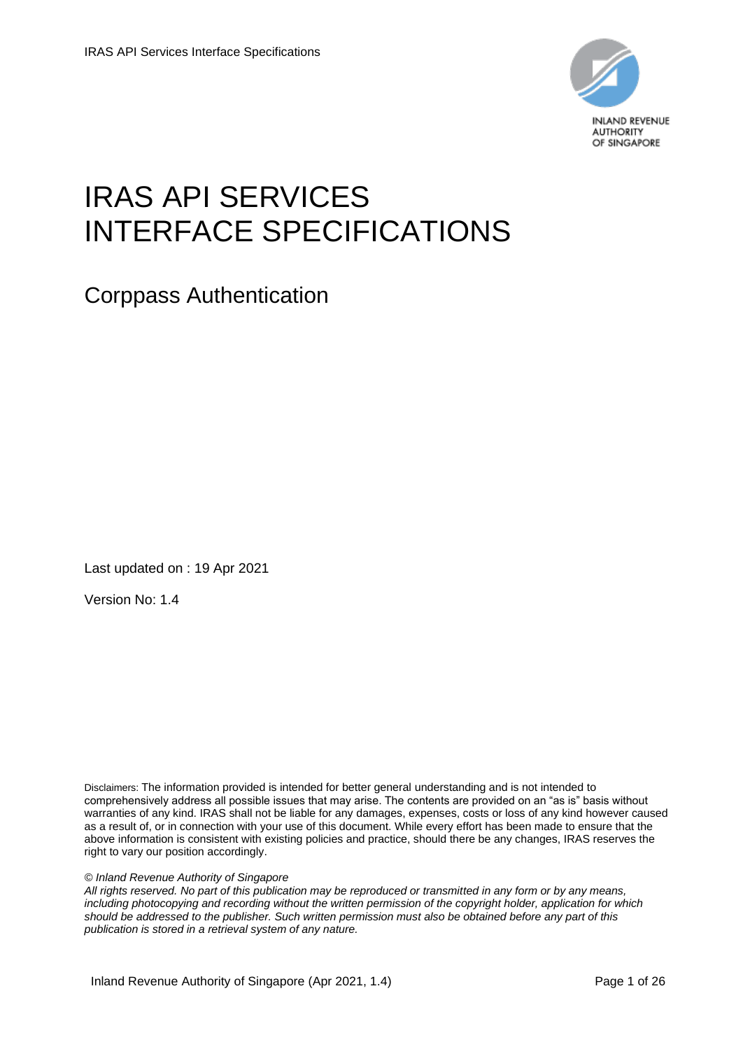

# IRAS API SERVICES INTERFACE SPECIFICATIONS

Corppass Authentication

Last updated on : 19 Apr 2021

Version No: 1.4

Disclaimers: The information provided is intended for better general understanding and is not intended to comprehensively address all possible issues that may arise. The contents are provided on an "as is" basis without warranties of any kind. IRAS shall not be liable for any damages, expenses, costs or loss of any kind however caused as a result of, or in connection with your use of this document. While every effort has been made to ensure that the above information is consistent with existing policies and practice, should there be any changes, IRAS reserves the right to vary our position accordingly.

*© Inland Revenue Authority of Singapore* 

*All rights reserved. No part of this publication may be reproduced or transmitted in any form or by any means, including photocopying and recording without the written permission of the copyright holder, application for which should be addressed to the publisher. Such written permission must also be obtained before any part of this publication is stored in a retrieval system of any nature.*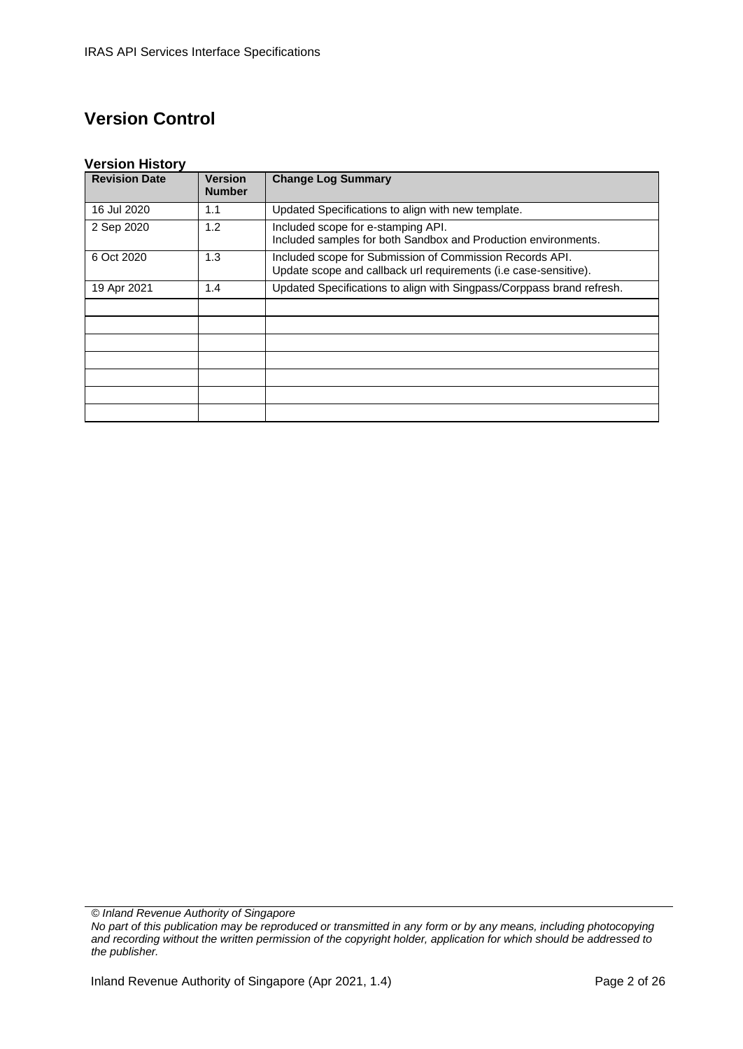# **Version Control**

#### **Version History**

| <b>Revision Date</b> | <b>Version</b><br><b>Number</b> | <b>Change Log Summary</b>                                                                                                    |
|----------------------|---------------------------------|------------------------------------------------------------------------------------------------------------------------------|
| 16 Jul 2020          | 1.1                             | Updated Specifications to align with new template.                                                                           |
| 2 Sep 2020           | 1.2                             | Included scope for e-stamping API.<br>Included samples for both Sandbox and Production environments.                         |
| 6 Oct 2020           | 1.3                             | Included scope for Submission of Commission Records API.<br>Update scope and callback url requirements (i.e case-sensitive). |
| 19 Apr 2021          | 1.4                             | Updated Specifications to align with Singpass/Corppass brand refresh.                                                        |
|                      |                                 |                                                                                                                              |
|                      |                                 |                                                                                                                              |
|                      |                                 |                                                                                                                              |
|                      |                                 |                                                                                                                              |
|                      |                                 |                                                                                                                              |
|                      |                                 |                                                                                                                              |
|                      |                                 |                                                                                                                              |

*© Inland Revenue Authority of Singapore*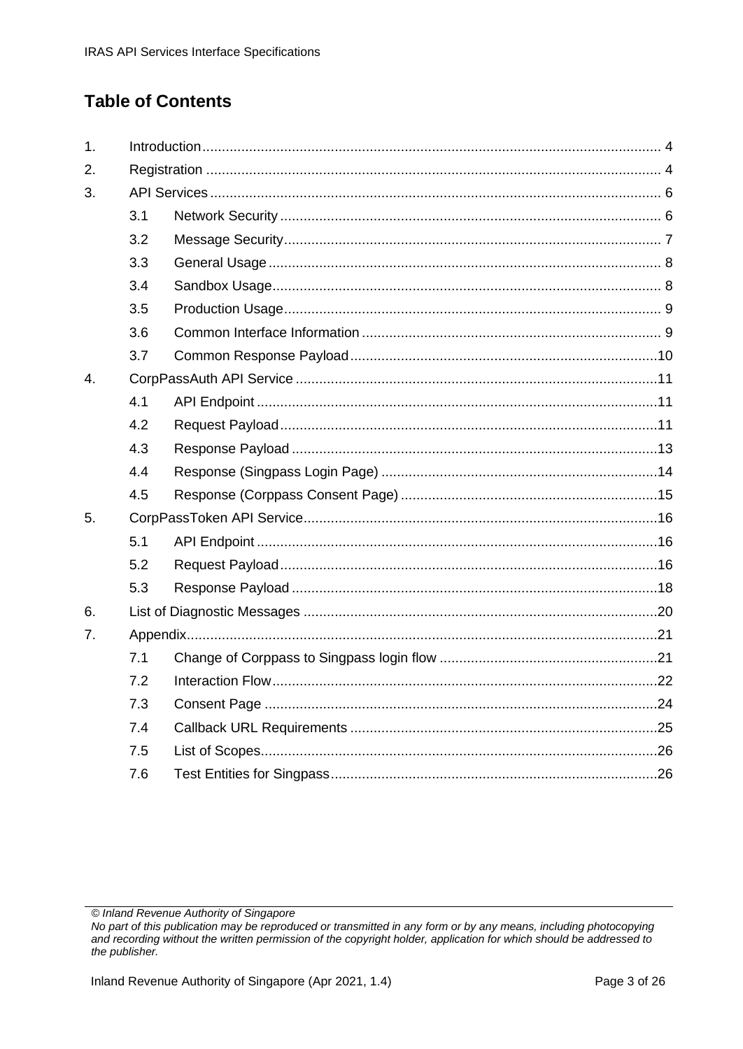# **Table of Contents**

| 1.               |     |  |  |
|------------------|-----|--|--|
| 2.               |     |  |  |
| 3.               |     |  |  |
|                  | 3.1 |  |  |
|                  | 3.2 |  |  |
|                  | 3.3 |  |  |
|                  | 3.4 |  |  |
|                  | 3.5 |  |  |
|                  | 3.6 |  |  |
|                  | 3.7 |  |  |
| $\overline{4}$ . |     |  |  |
|                  | 4.1 |  |  |
|                  | 4.2 |  |  |
|                  | 4.3 |  |  |
|                  | 4.4 |  |  |
|                  | 4.5 |  |  |
| 5.               |     |  |  |
|                  | 5.1 |  |  |
|                  | 5.2 |  |  |
|                  | 5.3 |  |  |
| 6.               |     |  |  |
| 7.               |     |  |  |
|                  | 7.1 |  |  |
|                  | 7.2 |  |  |
|                  | 7.3 |  |  |
|                  | 7.4 |  |  |
|                  | 7.5 |  |  |
|                  | 7.6 |  |  |

<sup>©</sup> Inland Revenue Authority of Singapore

No part of this publication may be reproduced or transmitted in any form or by any means, including photocopying and recording without the written permission of the copyright holder, application for which should be addressed to the publisher.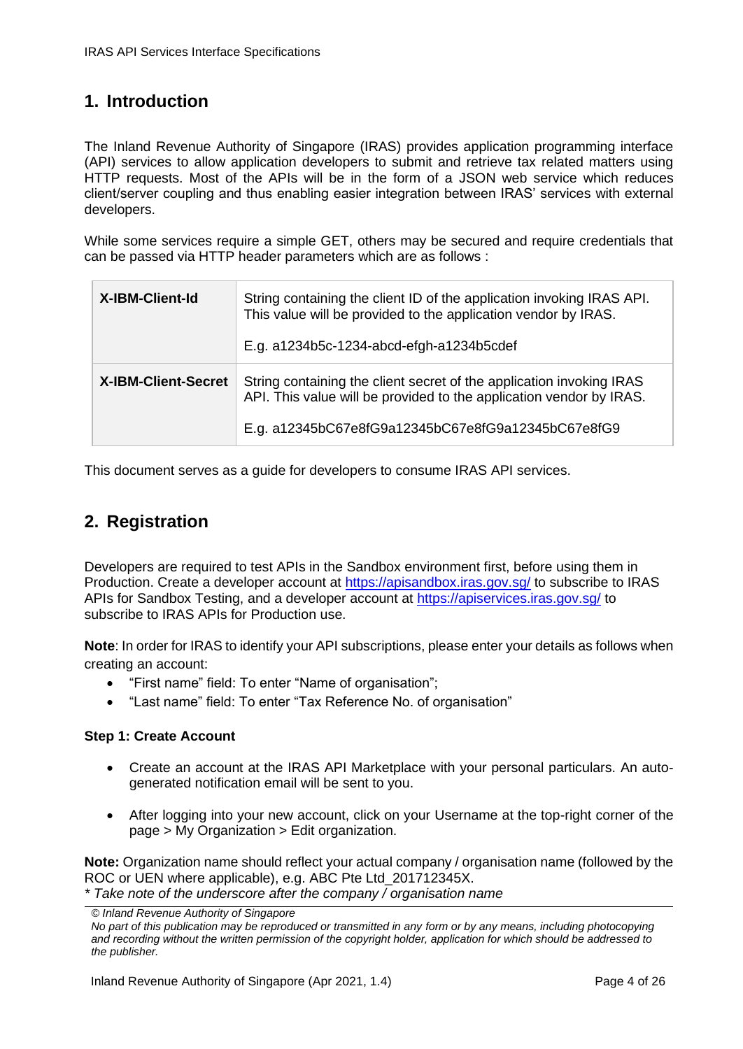### <span id="page-3-0"></span>**1. Introduction**

The Inland Revenue Authority of Singapore (IRAS) provides application programming interface (API) services to allow application developers to submit and retrieve tax related matters using HTTP requests. Most of the APIs will be in the form of a JSON web service which reduces client/server coupling and thus enabling easier integration between IRAS' services with external developers.

While some services require a simple GET, others may be secured and require credentials that can be passed via HTTP header parameters which are as follows :

| <b>X-IBM-Client-Id</b>     | String containing the client ID of the application invoking IRAS API.<br>This value will be provided to the application vendor by IRAS.<br>E.g. a1234b5c-1234-abcd-efgh-a1234b5cdef               |
|----------------------------|---------------------------------------------------------------------------------------------------------------------------------------------------------------------------------------------------|
| <b>X-IBM-Client-Secret</b> | String containing the client secret of the application invoking IRAS<br>API. This value will be provided to the application vendor by IRAS.<br>E.g. a12345bC67e8fG9a12345bC67e8fG9a12345bC67e8fG9 |

This document serves as a guide for developers to consume IRAS API services.

### <span id="page-3-1"></span>**2. Registration**

Developers are required to test APIs in the Sandbox environment first, before using them in Production. Create a developer account at<https://apisandbox.iras.gov.sg/> to subscribe to IRAS APIs for Sandbox Testing, and a developer account at<https://apiservices.iras.gov.sg/> to subscribe to IRAS APIs for Production use.

**Note**: In order for IRAS to identify your API subscriptions, please enter your details as follows when creating an account:

- "First name" field: To enter "Name of organisation";
- "Last name" field: To enter "Tax Reference No. of organisation"

#### **Step 1: Create Account**

- Create an account at the IRAS API Marketplace with your personal particulars. An autogenerated notification email will be sent to you.
- After logging into your new account, click on your Username at the top-right corner of the page > My Organization > Edit organization.

**Note:** Organization name should reflect your actual company / organisation name (followed by the ROC or UEN where applicable), e.g. ABC Pte Ltd\_201712345X.

*\* Take note of the underscore after the company / organisation name*

*<sup>©</sup> Inland Revenue Authority of Singapore* 

*No part of this publication may be reproduced or transmitted in any form or by any means, including photocopying and recording without the written permission of the copyright holder, application for which should be addressed to the publisher.*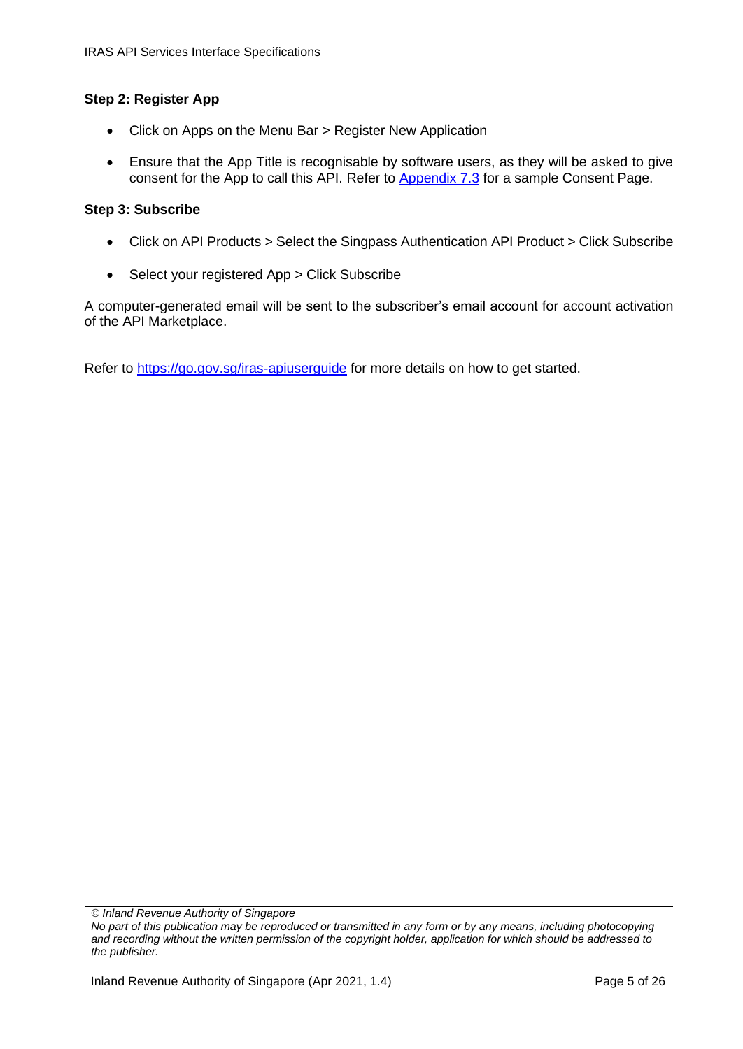#### **Step 2: Register App**

- Click on Apps on the Menu Bar > Register New Application
- Ensure that the App Title is recognisable by software users, as they will be asked to give consent for the App to call this API. Refer to [Appendix 7.3](#page-23-0) for a sample Consent Page.

#### **Step 3: Subscribe**

- Click on API Products > Select the Singpass Authentication API Product > Click Subscribe
- Select your registered App > Click Subscribe

A computer-generated email will be sent to the subscriber's email account for account activation of the API Marketplace.

Refer to<https://go.gov.sg/iras-apiuserguide> for more details on how to get started.

*<sup>©</sup> Inland Revenue Authority of Singapore* 

*No part of this publication may be reproduced or transmitted in any form or by any means, including photocopying and recording without the written permission of the copyright holder, application for which should be addressed to the publisher.*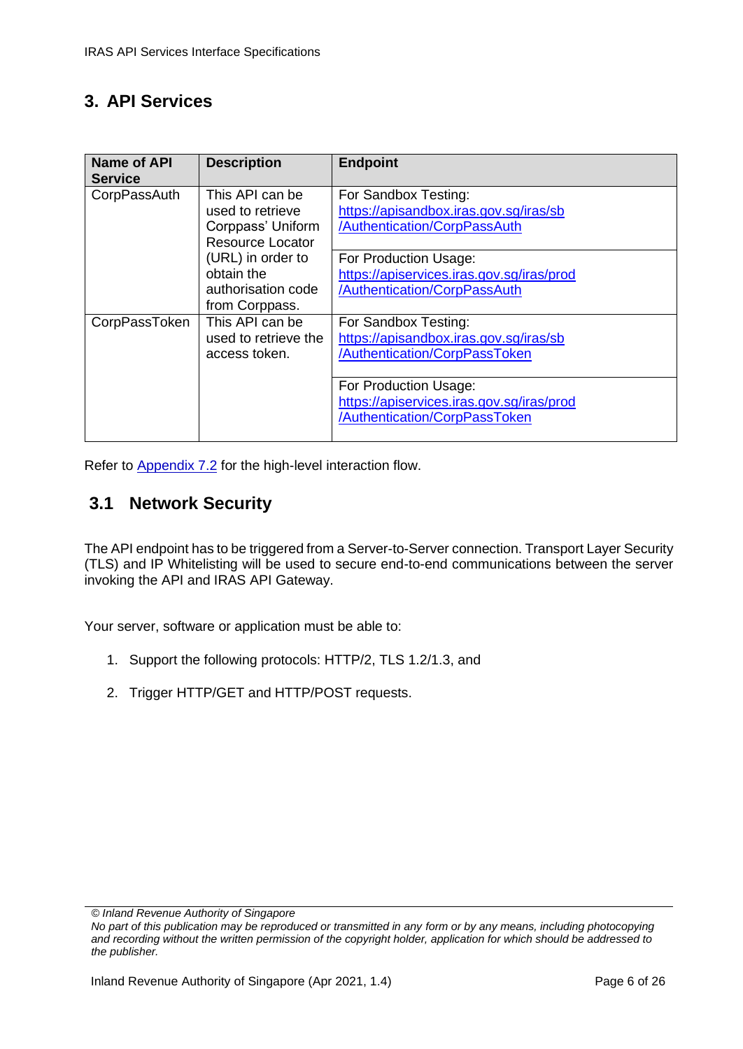### <span id="page-5-0"></span>**3. API Services**

| <b>Name of API</b><br><b>Service</b> | <b>Description</b>                                                                                | <b>Endpoint</b>                                                                                                         |
|--------------------------------------|---------------------------------------------------------------------------------------------------|-------------------------------------------------------------------------------------------------------------------------|
| CorpPassAuth                         | This API can be<br>used to retrieve<br>Corppass' Uniform<br>Resource Locator<br>(URL) in order to | For Sandbox Testing:<br>https://apisandbox.iras.gov.sg/iras/sb<br>/Authentication/CorpPassAuth<br>For Production Usage: |
|                                      | obtain the<br>authorisation code<br>from Corppass.                                                | https://apiservices.iras.gov.sg/iras/prod<br>/Authentication/CorpPassAuth                                               |
| CorpPassToken                        | This API can be<br>used to retrieve the<br>access token.                                          | For Sandbox Testing:<br>https://apisandbox.iras.gov.sg/iras/sb<br>/Authentication/CorpPassToken                         |
|                                      |                                                                                                   | For Production Usage:<br>https://apiservices.iras.gov.sg/iras/prod<br>/Authentication/CorpPassToken                     |

Refer to [Appendix 7.2](#page-21-0) for the high-level interaction flow.

### <span id="page-5-1"></span>**3.1 Network Security**

The API endpoint has to be triggered from a Server-to-Server connection. Transport Layer Security (TLS) and IP Whitelisting will be used to secure end-to-end communications between the server invoking the API and IRAS API Gateway.

Your server, software or application must be able to:

- 1. Support the following protocols: HTTP/2, TLS 1.2/1.3, and
- 2. Trigger HTTP/GET and HTTP/POST requests.

*<sup>©</sup> Inland Revenue Authority of Singapore* 

*No part of this publication may be reproduced or transmitted in any form or by any means, including photocopying and recording without the written permission of the copyright holder, application for which should be addressed to the publisher.*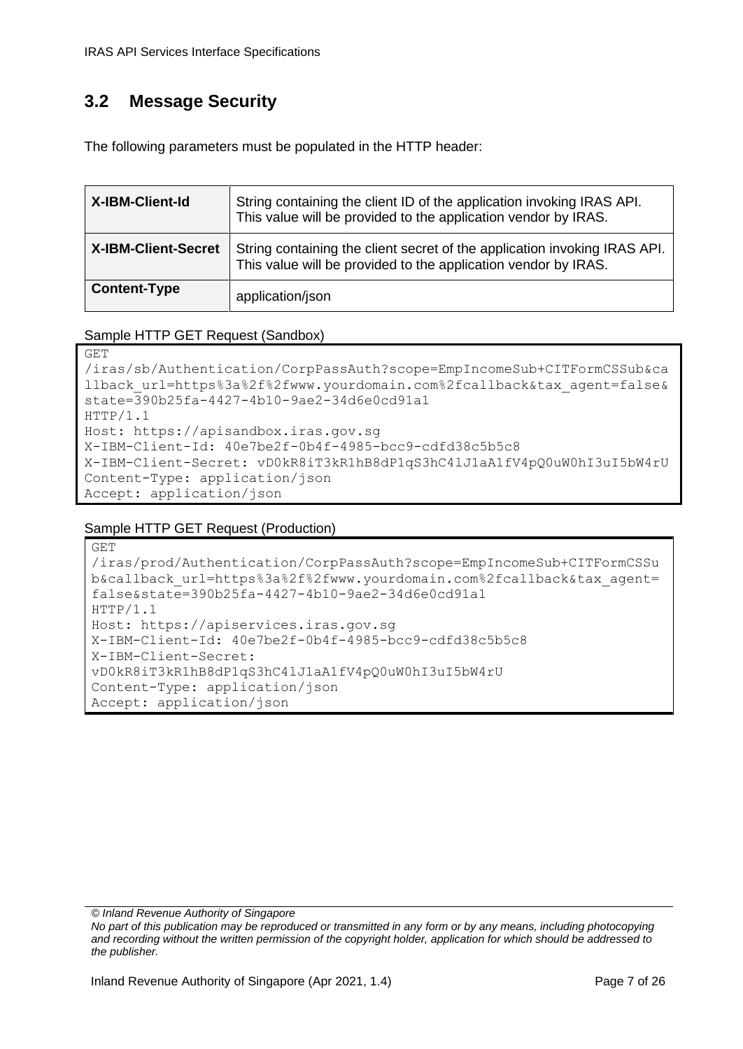## <span id="page-6-0"></span>**3.2 Message Security**

The following parameters must be populated in the HTTP header:

| X-IBM-Client-Id            | String containing the client ID of the application invoking IRAS API.<br>This value will be provided to the application vendor by IRAS.     |
|----------------------------|---------------------------------------------------------------------------------------------------------------------------------------------|
| <b>X-IBM-Client-Secret</b> | String containing the client secret of the application invoking IRAS API.<br>This value will be provided to the application vendor by IRAS. |
| <b>Content-Type</b>        | application/json                                                                                                                            |

#### Sample HTTP GET Request (Sandbox)

```
GET 
/iras/sb/Authentication/CorpPassAuth?scope=EmpIncomeSub+CITFormCSSub&ca
llback url=https%3a%2f%2fwww.yourdomain.com%2fcallback&tax agent=false&
state=390b25fa-4427-4b10-9ae2-34d6e0cd91a1
HTTP/1.1
Host: https://apisandbox.iras.gov.sg
X-IBM-Client-Id: 40e7be2f-0b4f-4985-bcc9-cdfd38c5b5c8
X-IBM-Client-Secret: vD0kR8iT3kR1hB8dP1qS3hC4lJ1aA1fV4pQ0uW0hI3uI5bW4rU
Content-Type: application/json
Accept: application/json
```
#### Sample HTTP GET Request (Production)

```
GET 
/iras/prod/Authentication/CorpPassAuth?scope=EmpIncomeSub+CITFormCSSu
b&callback_url=https%3a%2f%2fwww.yourdomain.com%2fcallback&tax_agent=
false&state=390b25fa-4427-4b10-9ae2-34d6e0cd91a1
HTTP/1.1
Host: https://apiservices.iras.gov.sg
X-IBM-Client-Id: 40e7be2f-0b4f-4985-bcc9-cdfd38c5b5c8
X-IBM-Client-Secret: 
vD0kR8iT3kR1hB8dP1qS3hC4lJ1aA1fV4pQ0uW0hI3uI5bW4rU
Content-Type: application/json
Accept: application/json
```
*© Inland Revenue Authority of Singapore*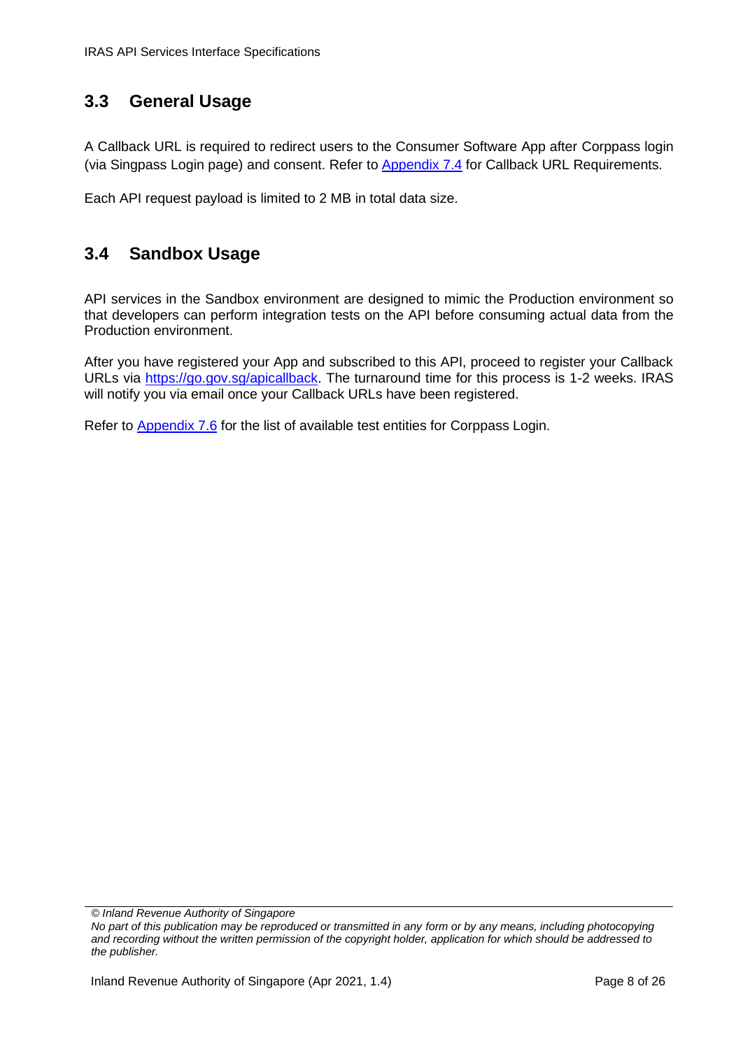### <span id="page-7-0"></span>**3.3 General Usage**

A Callback URL is required to redirect users to the Consumer Software App after Corppass login (via Singpass Login page) and consent. Refer to [Appendix 7.4](#page-24-0) for Callback URL Requirements.

Each API request payload is limited to 2 MB in total data size.

### <span id="page-7-1"></span>**3.4 Sandbox Usage**

API services in the Sandbox environment are designed to mimic the Production environment so that developers can perform integration tests on the API before consuming actual data from the Production environment.

After you have registered your App and subscribed to this API, proceed to register your Callback URLs via [https://go.gov.sg/apicallback.](https://go.gov.sg/apicallback) The turnaround time for this process is 1-2 weeks. IRAS will notify you via email once your Callback URLs have been registered.

Refer to **Appendix 7.6** for the list of available test entities for Corppass Login.

*© Inland Revenue Authority of Singapore*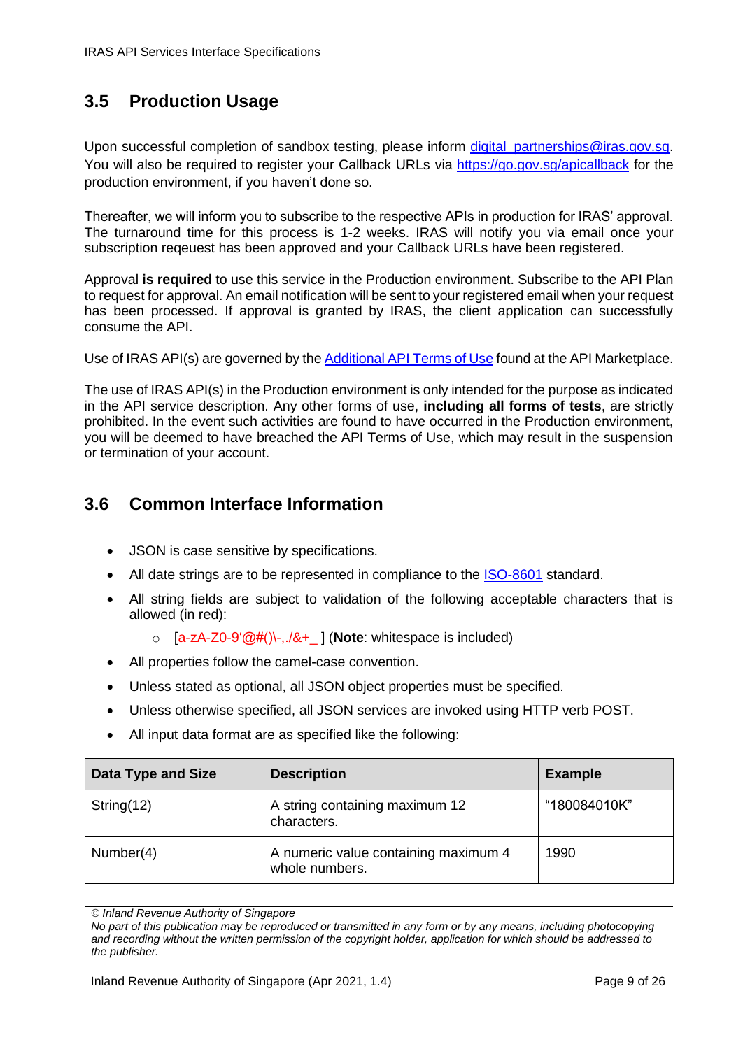# <span id="page-8-0"></span>**3.5 Production Usage**

Upon successful completion of sandbox testing, please inform digital partnerships@iras.gov.sg. You will also be required to register your Callback URLs via <https://go.gov.sg/apicallback> for the production environment, if you haven't done so.

Thereafter, we will inform you to subscribe to the respective APIs in production for IRAS' approval. The turnaround time for this process is 1-2 weeks. IRAS will notify you via email once your subscription reqeuest has been approved and your Callback URLs have been registered.

Approval **is required** to use this service in the Production environment. Subscribe to the API Plan to request for approval. An email notification will be sent to your registered email when your request has been processed. If approval is granted by IRAS, the client application can successfully consume the API.

Use of IRAS API(s) are governed by the [Additional API Terms](https://apiservices.iras.gov.sg/iras/devportal/pages/terms-use) of Use found at the API Marketplace.

The use of IRAS API(s) in the Production environment is only intended for the purpose as indicated in the API service description. Any other forms of use, **including all forms of tests**, are strictly prohibited. In the event such activities are found to have occurred in the Production environment, you will be deemed to have breached the API Terms of Use, which may result in the suspension or termination of your account.

### <span id="page-8-1"></span>**3.6 Common Interface Information**

- JSON is case sensitive by specifications.
- All date strings are to be represented in compliance to the [ISO-8601](https://www.w3.org/TR/NOTE-datetime) standard.
- All string fields are subject to validation of the following acceptable characters that is allowed (in red):
	- o [a-zA-Z0-9'@#()\-,./&+\_ ] (**Note**: whitespace is included)
- All properties follow the camel-case convention.
- Unless stated as optional, all JSON object properties must be specified.
- Unless otherwise specified, all JSON services are invoked using HTTP verb POST.
- All input data format are as specified like the following:

| <b>Data Type and Size</b> | <b>Description</b>                                     | <b>Example</b> |
|---------------------------|--------------------------------------------------------|----------------|
| String(12)                | A string containing maximum 12<br>characters.          | "180084010K"   |
| Number(4)                 | A numeric value containing maximum 4<br>whole numbers. | 1990           |

*<sup>©</sup> Inland Revenue Authority of Singapore* 

*No part of this publication may be reproduced or transmitted in any form or by any means, including photocopying and recording without the written permission of the copyright holder, application for which should be addressed to the publisher.*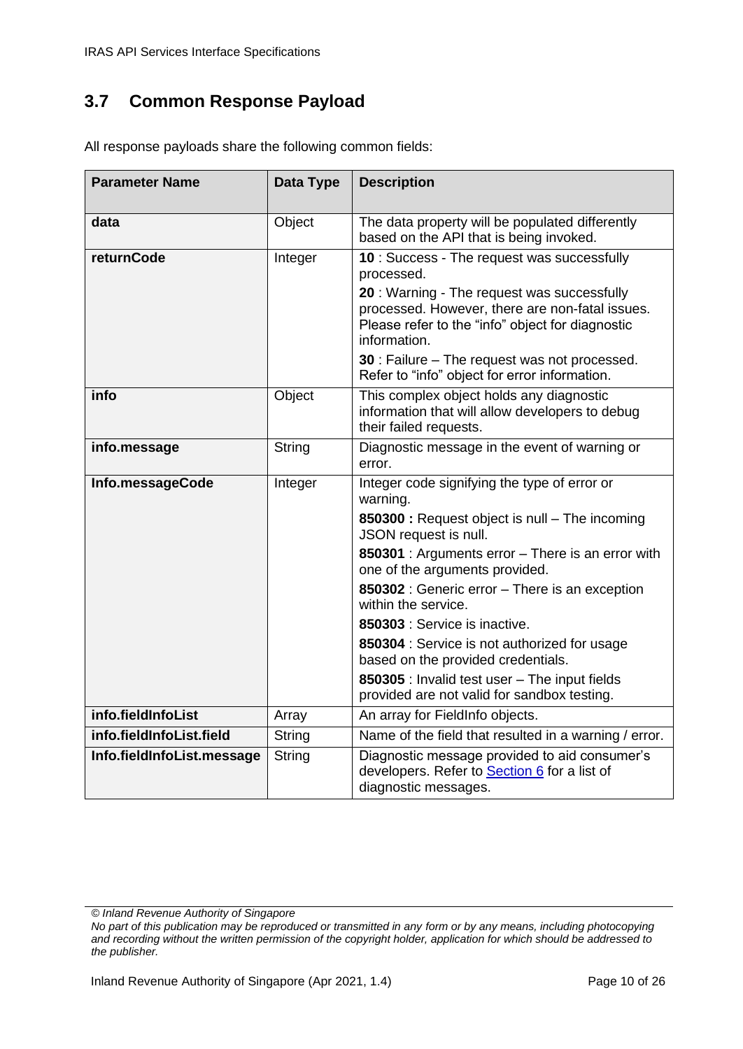### <span id="page-9-0"></span>**3.7 Common Response Payload**

| <b>Parameter Name</b>      | Data Type     | <b>Description</b>                                                                                                                                                 |
|----------------------------|---------------|--------------------------------------------------------------------------------------------------------------------------------------------------------------------|
| data                       | Object        | The data property will be populated differently<br>based on the API that is being invoked.                                                                         |
| returnCode                 | Integer       | 10 : Success - The request was successfully<br>processed.                                                                                                          |
|                            |               | 20 : Warning - The request was successfully<br>processed. However, there are non-fatal issues.<br>Please refer to the "info" object for diagnostic<br>information. |
|                            |               | 30 : Failure - The request was not processed.<br>Refer to "info" object for error information.                                                                     |
| info                       | Object        | This complex object holds any diagnostic<br>information that will allow developers to debug<br>their failed requests.                                              |
| info.message               | <b>String</b> | Diagnostic message in the event of warning or<br>error.                                                                                                            |
| Info.messageCode           | Integer       | Integer code signifying the type of error or<br>warning.                                                                                                           |
|                            |               | 850300 : Request object is null - The incoming<br>JSON request is null.                                                                                            |
|                            |               | 850301 : Arguments error - There is an error with<br>one of the arguments provided.                                                                                |
|                            |               | 850302 : Generic error - There is an exception<br>within the service.                                                                                              |
|                            |               | 850303 : Service is inactive.                                                                                                                                      |
|                            |               | 850304 : Service is not authorized for usage<br>based on the provided credentials.                                                                                 |
|                            |               | 850305 : Invalid test user - The input fields<br>provided are not valid for sandbox testing.                                                                       |
| info.fieldInfoList         | Array         | An array for FieldInfo objects.                                                                                                                                    |
| info.fieldInfoList.field   | <b>String</b> | Name of the field that resulted in a warning / error.                                                                                                              |
| Info.fieldInfoList.message | String        | Diagnostic message provided to aid consumer's<br>developers. Refer to Section 6 for a list of<br>diagnostic messages.                                              |

All response payloads share the following common fields:

*<sup>©</sup> Inland Revenue Authority of Singapore* 

*No part of this publication may be reproduced or transmitted in any form or by any means, including photocopying and recording without the written permission of the copyright holder, application for which should be addressed to the publisher.*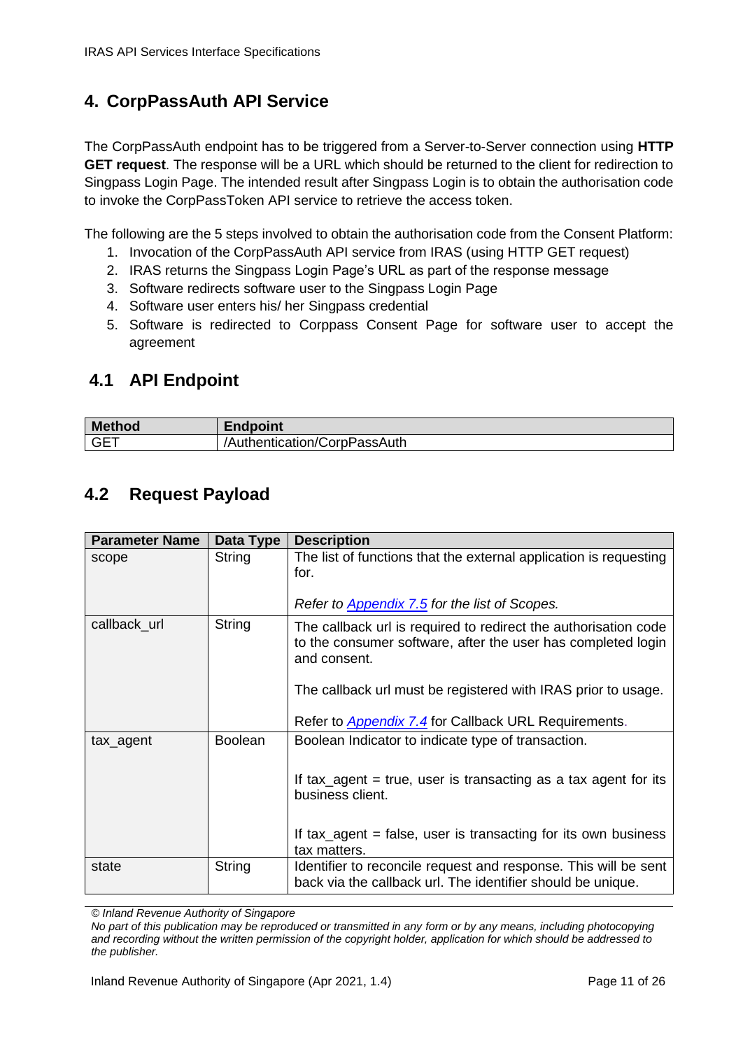# <span id="page-10-0"></span>**4. CorpPassAuth API Service**

The CorpPassAuth endpoint has to be triggered from a Server-to-Server connection using **HTTP GET request**. The response will be a URL which should be returned to the client for redirection to Singpass Login Page. The intended result after Singpass Login is to obtain the authorisation code to invoke the CorpPassToken API service to retrieve the access token.

The following are the 5 steps involved to obtain the authorisation code from the Consent Platform:

- 1. Invocation of the CorpPassAuth API service from IRAS (using HTTP GET request)
- 2. IRAS returns the Singpass Login Page's URL as part of the response message
- 3. Software redirects software user to the Singpass Login Page
- 4. Software user enters his/ her Singpass credential
- <span id="page-10-1"></span>5. Software is redirected to Corppass Consent Page for software user to accept the agreement

### **4.1 API Endpoint**

| <b>Method</b> | Endpoint                     |
|---------------|------------------------------|
| <b>GET</b>    | /Authentication/CorpPassAuth |

## <span id="page-10-2"></span>**4.2 Request Payload**

| <b>Parameter Name</b> | Data Type      | <b>Description</b>                                                                                                                              |
|-----------------------|----------------|-------------------------------------------------------------------------------------------------------------------------------------------------|
| scope                 | String         | The list of functions that the external application is requesting<br>for.                                                                       |
|                       |                | Refer to <b>Appendix 7.5</b> for the list of Scopes.                                                                                            |
| callback_url          | <b>String</b>  | The callback url is required to redirect the authorisation code<br>to the consumer software, after the user has completed login<br>and consent. |
|                       |                | The callback url must be registered with IRAS prior to usage.                                                                                   |
|                       |                | Refer to <b>Appendix 7.4</b> for Callback URL Requirements.                                                                                     |
| tax_agent             | <b>Boolean</b> | Boolean Indicator to indicate type of transaction.                                                                                              |
|                       |                | If tax_agent = true, user is transacting as a tax agent for its<br>business client.                                                             |
|                       |                | If tax_agent = false, user is transacting for its own business<br>tax matters.                                                                  |
| state                 | String         | Identifier to reconcile request and response. This will be sent<br>back via the callback url. The identifier should be unique.                  |

*© Inland Revenue Authority of Singapore*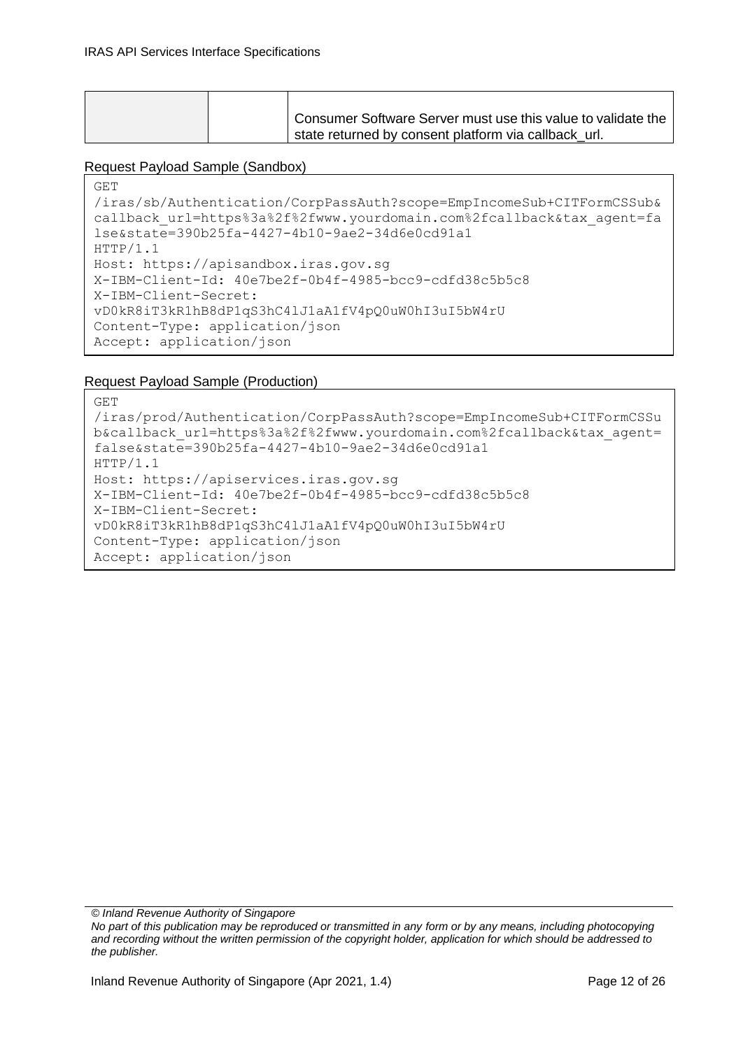| Consumer Software Server must use this value to validate the |
|--------------------------------------------------------------|
| state returned by consent platform via callback url.         |

#### Request Payload Sample (Sandbox)

```
GET 
/iras/sb/Authentication/CorpPassAuth?scope=EmpIncomeSub+CITFormCSSub&
callback_url=https%3a%2f%2fwww.yourdomain.com%2fcallback&tax_agent=fa
lse&state=390b25fa-4427-4b10-9ae2-34d6e0cd91a1
HTTP/1.1
Host: https://apisandbox.iras.gov.sg
X-IBM-Client-Id: 40e7be2f-0b4f-4985-bcc9-cdfd38c5b5c8
X-IBM-Client-Secret: 
vD0kR8iT3kR1hB8dP1qS3hC4lJ1aA1fV4pQ0uW0hI3uI5bW4rU
Content-Type: application/json
Accept: application/json
```
#### Request Payload Sample (Production)

```
GET 
/iras/prod/Authentication/CorpPassAuth?scope=EmpIncomeSub+CITFormCSSu
b&callback_url=https%3a%2f%2fwww.yourdomain.com%2fcallback&tax_agent=
false&state=390b25fa-4427-4b10-9ae2-34d6e0cd91a1
HTTP/1.1
Host: https://apiservices.iras.gov.sg
X-IBM-Client-Id: 40e7be2f-0b4f-4985-bcc9-cdfd38c5b5c8
X-IBM-Client-Secret: 
vD0kR8iT3kR1hB8dP1qS3hC4lJ1aA1fV4pQ0uW0hI3uI5bW4rU
Content-Type: application/json
Accept: application/json
```
*© Inland Revenue Authority of Singapore*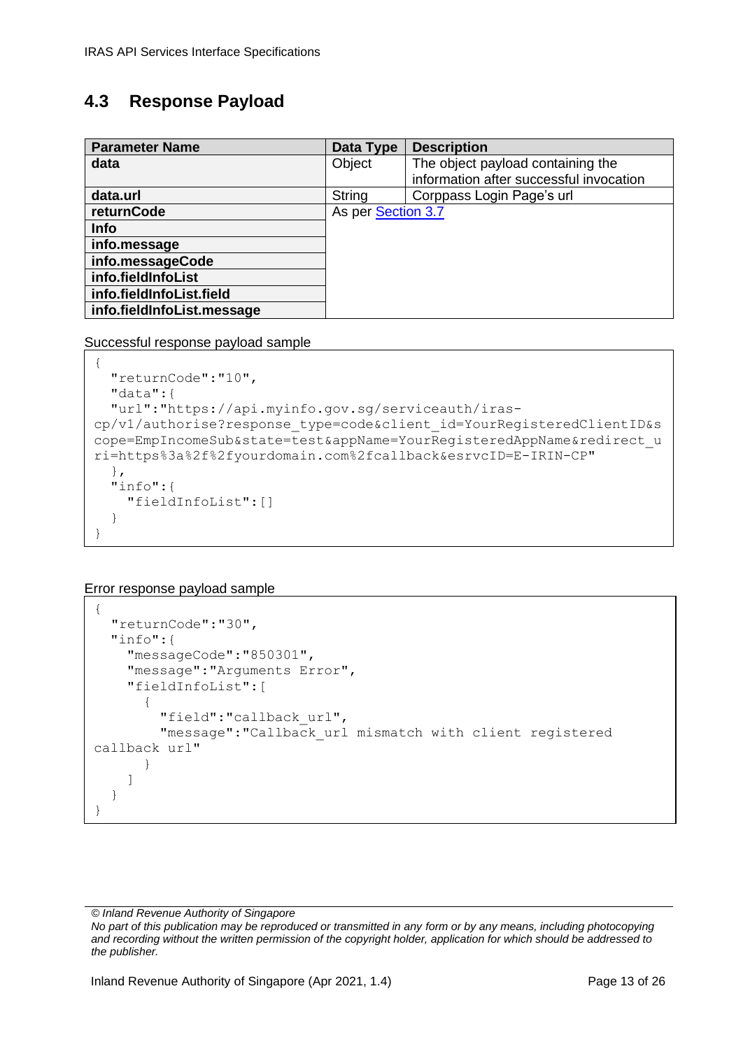### <span id="page-12-0"></span>**4.3 Response Payload**

| <b>Parameter Name</b>      | Data Type          | <b>Description</b>                      |
|----------------------------|--------------------|-----------------------------------------|
| data                       | Object             | The object payload containing the       |
|                            |                    | information after successful invocation |
| data.url                   | <b>String</b>      | Corppass Login Page's url               |
| returnCode                 | As per Section 3.7 |                                         |
| <b>Info</b>                |                    |                                         |
| info.message               |                    |                                         |
| info.messageCode           |                    |                                         |
| info.fieldInfoList         |                    |                                         |
| info.fieldInfoList.field   |                    |                                         |
| info.fieldInfoList.message |                    |                                         |

Successful response payload sample

```
{
   "returnCode":"10",
   "data":{
   "url":"https://api.myinfo.gov.sg/serviceauth/iras-
cp/v1/authorise?response_type=code&client_id=YourRegisteredClientID&s
cope=EmpIncomeSub&state=test&appName=YourRegisteredAppName&redirect_u
ri=https%3a%2f%2fyourdomain.com%2fcallback&esrvcID=E-IRIN-CP"
   },
   "info":{
     "fieldInfoList":[]
   }
}
```
Error response payload sample

```
{
  "returnCode":"30",
   "info":{
     "messageCode":"850301",
     "message":"Arguments Error",
     "fieldInfoList":[
       {
         "field":"callback_url",
        "message": "Callback url mismatch with client registered
callback url"
 }
     ]
   }
}
```
*© Inland Revenue Authority of Singapore*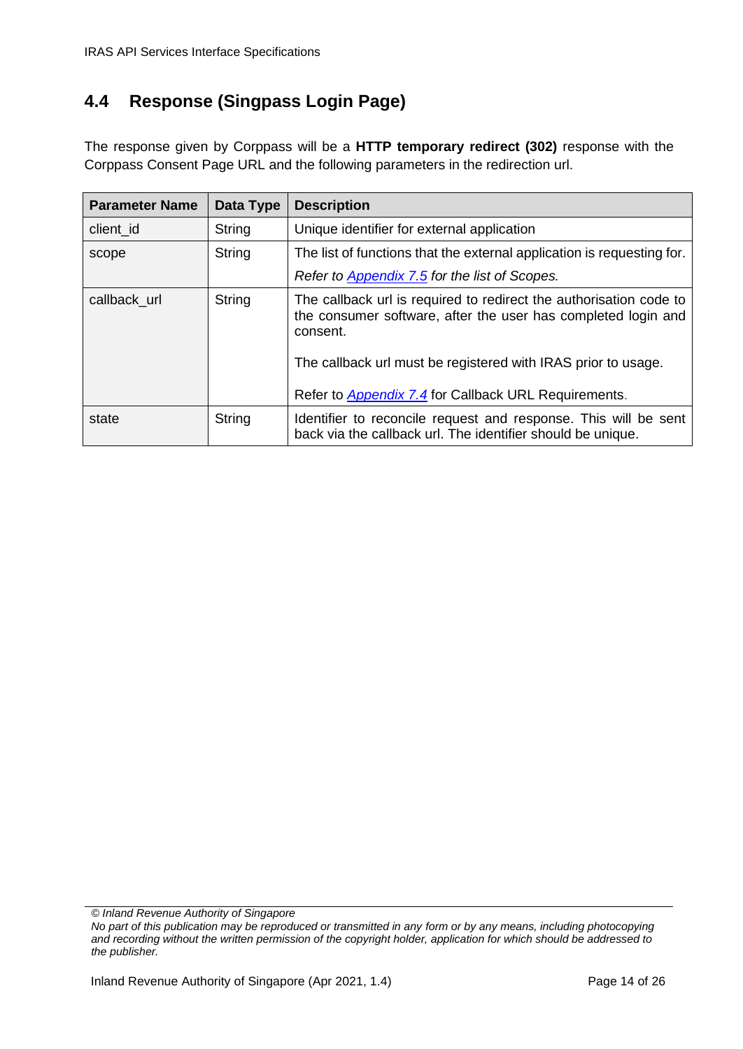# <span id="page-13-0"></span>**4.4 Response (Singpass Login Page)**

The response given by Corppass will be a **HTTP temporary redirect (302)** response with the Corppass Consent Page URL and the following parameters in the redirection url.

| <b>Parameter Name</b> | Data Type     | <b>Description</b>                                                                                                                                                                                                                                                              |  |
|-----------------------|---------------|---------------------------------------------------------------------------------------------------------------------------------------------------------------------------------------------------------------------------------------------------------------------------------|--|
| client id             | <b>String</b> | Unique identifier for external application                                                                                                                                                                                                                                      |  |
| scope                 | String        | The list of functions that the external application is requesting for.                                                                                                                                                                                                          |  |
|                       |               | Refer to Appendix 7.5 for the list of Scopes.                                                                                                                                                                                                                                   |  |
| callback url          | <b>String</b> | The callback url is required to redirect the authorisation code to<br>the consumer software, after the user has completed login and<br>consent.<br>The callback url must be registered with IRAS prior to usage.<br>Refer to <b>Appendix 7.4</b> for Callback URL Requirements. |  |
| state                 | String        | Identifier to reconcile request and response. This will be sent<br>back via the callback url. The identifier should be unique.                                                                                                                                                  |  |

*© Inland Revenue Authority of Singapore*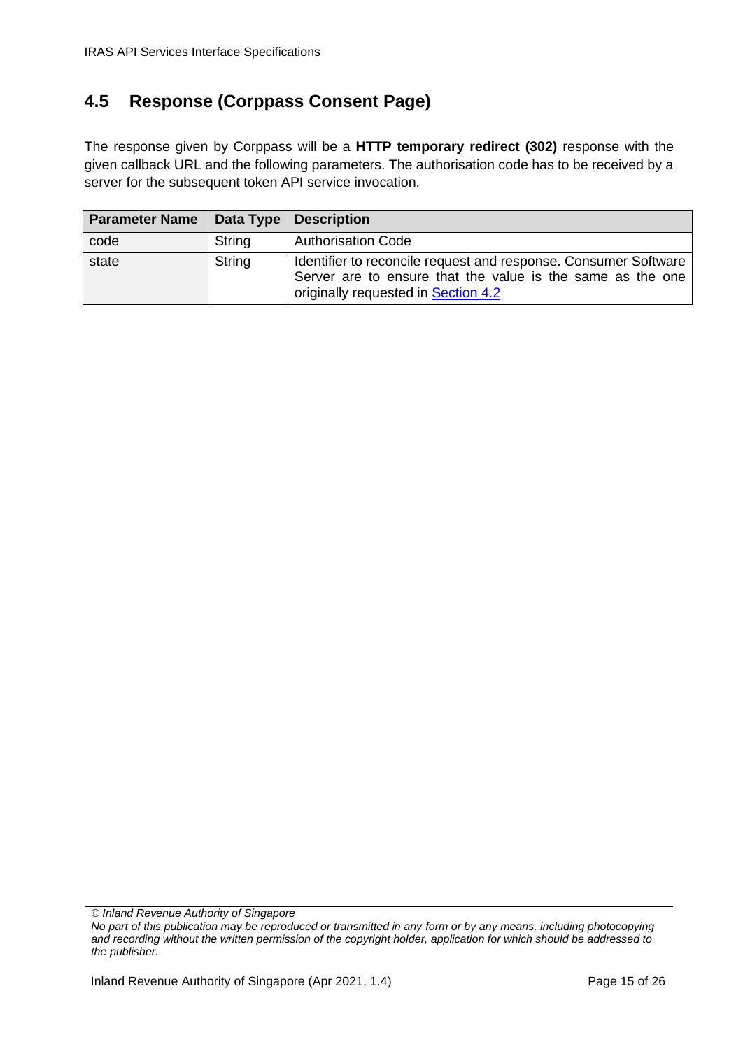# <span id="page-14-0"></span>**4.5 Response (Corppass Consent Page)**

The response given by Corppass will be a **HTTP temporary redirect (302)** response with the given callback URL and the following parameters. The authorisation code has to be received by a server for the subsequent token API service invocation.

| <b>Parameter Name   Data Type   Description</b> |        |                                                                                                                                                                      |
|-------------------------------------------------|--------|----------------------------------------------------------------------------------------------------------------------------------------------------------------------|
| code                                            | String | <b>Authorisation Code</b>                                                                                                                                            |
| state                                           | String | Identifier to reconcile request and response. Consumer Software<br>Server are to ensure that the value is the same as the one<br>originally requested in Section 4.2 |

*© Inland Revenue Authority of Singapore*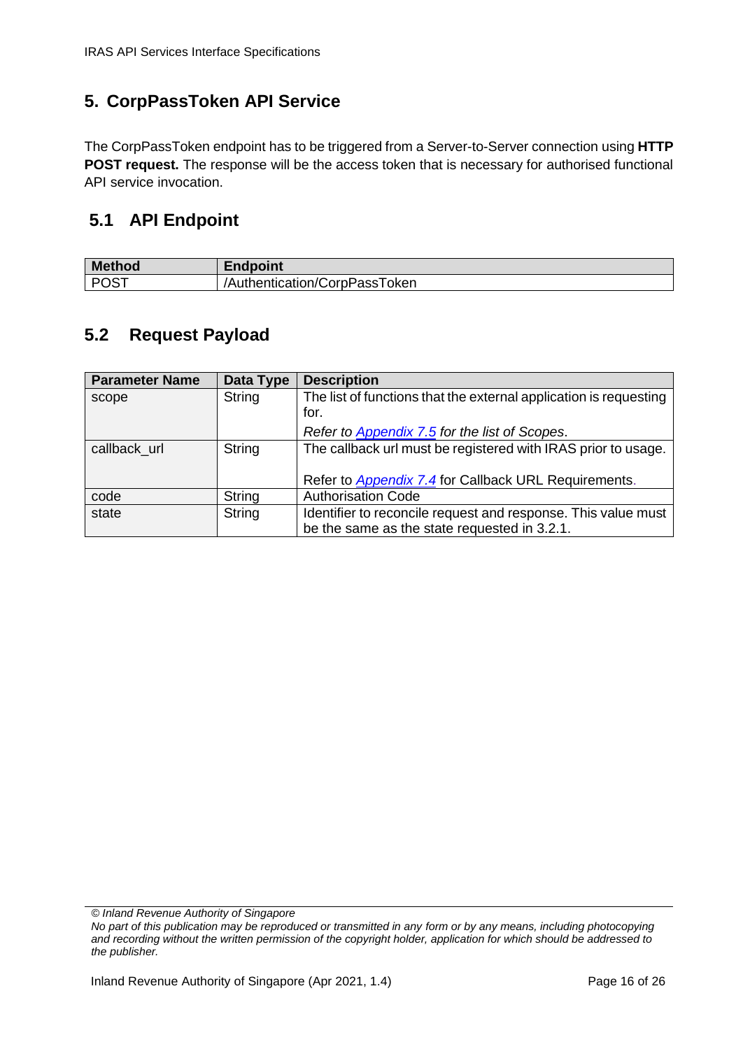# <span id="page-15-0"></span>**5. CorpPassToken API Service**

The CorpPassToken endpoint has to be triggered from a Server-to-Server connection using **HTTP POST request.** The response will be the access token that is necessary for authorised functional API service invocation.

## <span id="page-15-1"></span>**5.1 API Endpoint**

| <b>Method</b>      | −…<br>dpoint                  |
|--------------------|-------------------------------|
| <b>POST</b><br>. ت | /Authentication/CorpPassToken |

### <span id="page-15-2"></span>**5.2 Request Payload**

| <b>Parameter Name</b> | Data Type     | <b>Description</b>                                                |
|-----------------------|---------------|-------------------------------------------------------------------|
| scope                 | <b>String</b> | The list of functions that the external application is requesting |
|                       |               | for.                                                              |
|                       |               | Refer to Appendix 7.5 for the list of Scopes.                     |
| callback url          | String        | The callback url must be registered with IRAS prior to usage.     |
|                       |               |                                                                   |
|                       |               | Refer to Appendix 7.4 for Callback URL Requirements.              |
| code                  | String        | <b>Authorisation Code</b>                                         |
| state                 | String        | Identifier to reconcile request and response. This value must     |
|                       |               | be the same as the state requested in 3.2.1.                      |

*© Inland Revenue Authority of Singapore*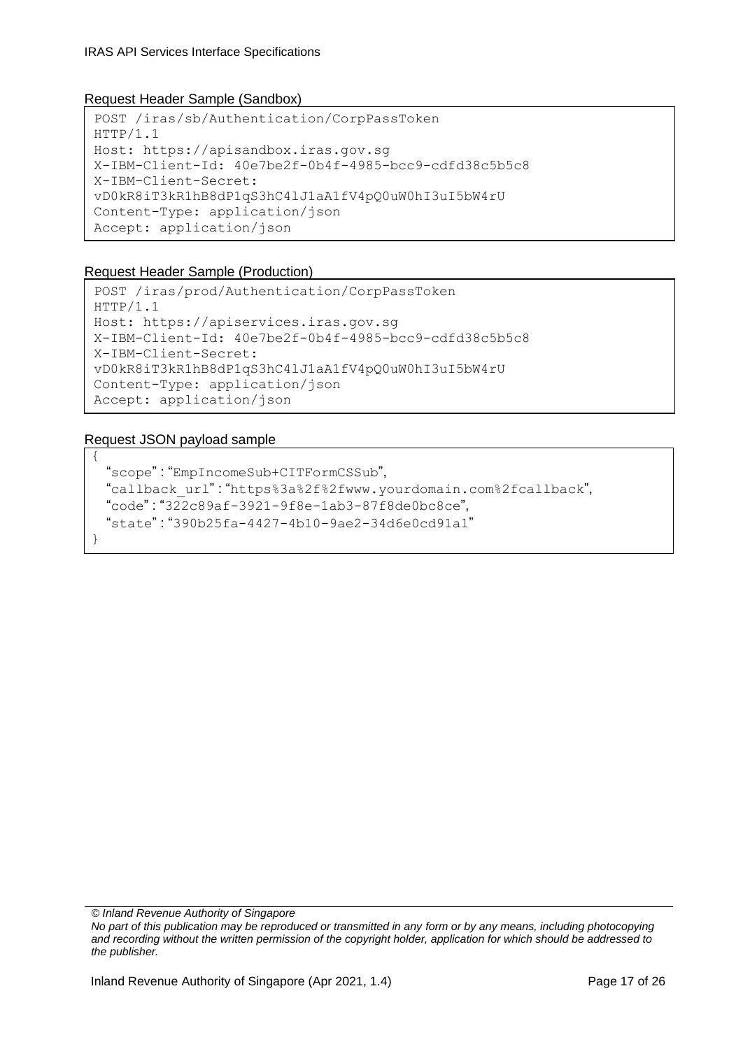#### Request Header Sample (Sandbox)

```
POST /iras/sb/Authentication/CorpPassToken
HTTP/1.1
Host: https://apisandbox.iras.gov.sg
X-IBM-Client-Id: 40e7be2f-0b4f-4985-bcc9-cdfd38c5b5c8
X-IBM-Client-Secret: 
vD0kR8iT3kR1hB8dP1qS3hC4lJ1aA1fV4pQ0uW0hI3uI5bW4rU
Content-Type: application/json
Accept: application/json
```
#### Request Header Sample (Production)

```
POST /iras/prod/Authentication/CorpPassToken
HTTP/1.1
Host: https://apiservices.iras.gov.sg
X-IBM-Client-Id: 40e7be2f-0b4f-4985-bcc9-cdfd38c5b5c8
X-IBM-Client-Secret: 
vD0kR8iT3kR1hB8dP1qS3hC4lJ1aA1fV4pQ0uW0hI3uI5bW4rU
Content-Type: application/json
Accept: application/json
```
#### Request JSON payload sample

{

}

```
 "scope" : "EmpIncomeSub+CITFormCSSub",
 "callback_url" : "https%3a%2f%2fwww.yourdomain.com%2fcallback",
 "code" : "322c89af-3921-9f8e-1ab3-87f8de0bc8ce",
 "state" : "390b25fa-4427-4b10-9ae2-34d6e0cd91a1"
```
*© Inland Revenue Authority of Singapore*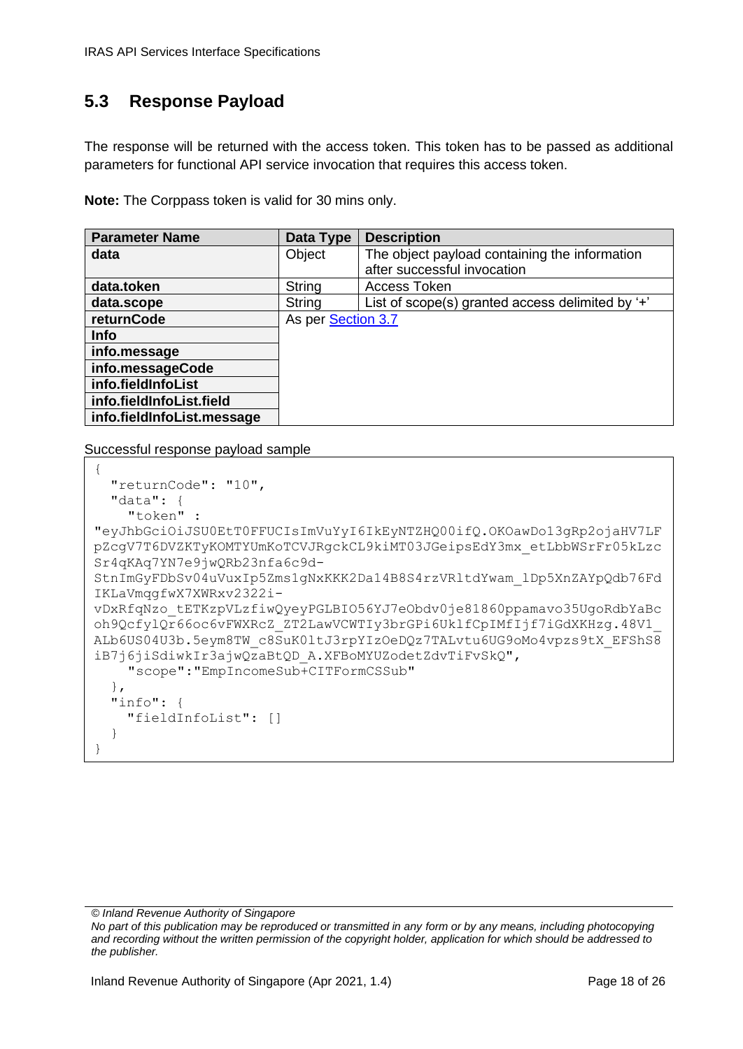# <span id="page-17-0"></span>**5.3 Response Payload**

The response will be returned with the access token. This token has to be passed as additional parameters for functional API service invocation that requires this access token.

**Note:** The Corppass token is valid for 30 mins only.

| <b>Parameter Name</b>      | Data Type          | <b>Description</b>                               |
|----------------------------|--------------------|--------------------------------------------------|
| data                       | Object             | The object payload containing the information    |
|                            |                    | after successful invocation                      |
| data.token                 | String             | Access Token                                     |
| data.scope                 | <b>String</b>      | List of scope(s) granted access delimited by '+' |
| returnCode                 | As per Section 3.7 |                                                  |
| <b>Info</b>                |                    |                                                  |
| info.message               |                    |                                                  |
| info.messageCode           |                    |                                                  |
| info.fieldInfoList         |                    |                                                  |
| info.fieldInfoList.field   |                    |                                                  |
| info.fieldInfoList.message |                    |                                                  |

Successful response payload sample

```
{
   "returnCode": "10",
   "data": {
    "token" : 
"eyJhbGciOiJSU0EtT0FFUCIsImVuYyI6IkEyNTZHQ00ifQ.OKOawDo13gRp2ojaHV7LF
pZcgV7T6DVZKTyKOMTYUmKoTCVJRgckCL9kiMT03JGeipsEdY3mx_etLbbWSrFr05kLzc
Sr4qKAq7YN7e9jwQRb23nfa6c9d-
StnImGyFDbSv04uVuxIp5Zms1gNxKKK2Da14B8S4rzVRltdYwam_lDp5XnZAYpQdb76Fd
IKLaVmqgfwX7XWRxv2322i-
vDxRfqNzo_tETKzpVLzfiwQyeyPGLBIO56YJ7eObdv0je81860ppamavo35UgoRdbYaBc
oh9QcfylQr66oc6vFWXRcZ_ZT2LawVCWTIy3brGPi6UklfCpIMfIjf7iGdXKHzg.48V1_
ALb6US04U3b.5eym8TW_c8SuK0ltJ3rpYIzOeDQz7TALvtu6UG9oMo4vpzs9tX_EFShS8
iB7j6jiSdiwkIr3ajwQzaBtQD_A.XFBoMYUZodetZdvTiFvSkQ",
    "scope":"EmpIncomeSub+CITFormCSSub"
   },
   "info": {
     "fieldInfoList": []
   }
}
```
*<sup>©</sup> Inland Revenue Authority of Singapore* 

*No part of this publication may be reproduced or transmitted in any form or by any means, including photocopying and recording without the written permission of the copyright holder, application for which should be addressed to the publisher.*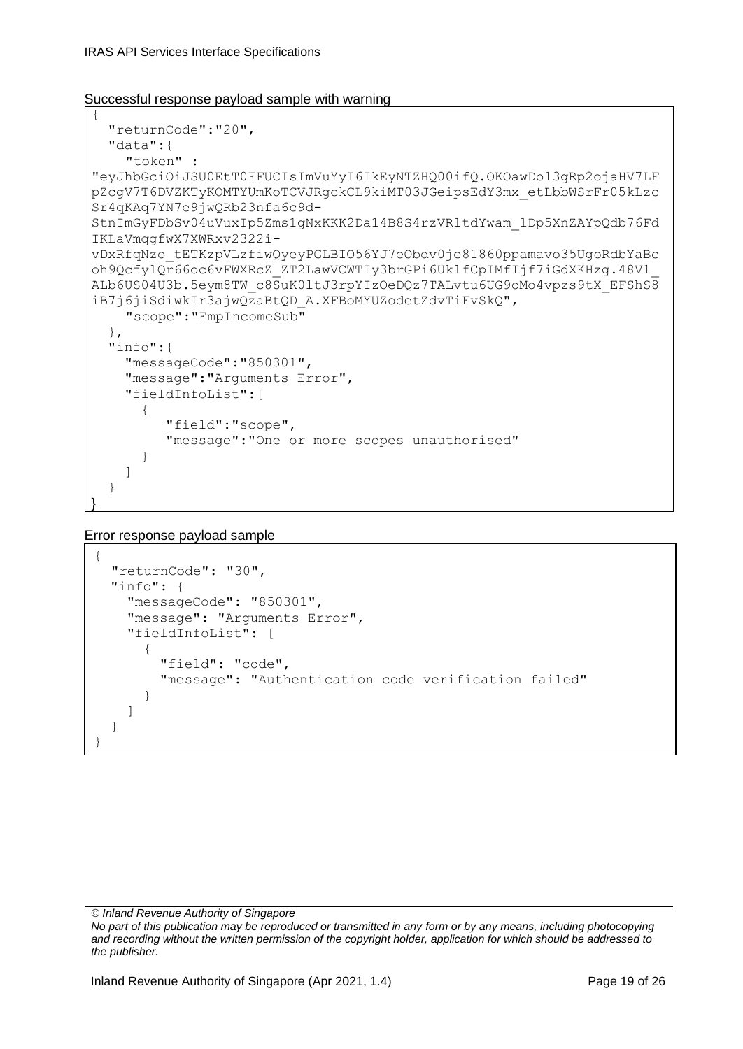#### Successful response payload sample with warning

```
{
   "returnCode":"20",
   "data":{
    "token" : 
"eyJhbGciOiJSU0EtT0FFUCIsImVuYyI6IkEyNTZHQ00ifQ.OKOawDo13gRp2ojaHV7LF
pZcgV7T6DVZKTyKOMTYUmKoTCVJRgckCL9kiMT03JGeipsEdY3mx_etLbbWSrFr05kLzc
Sr4qKAq7YN7e9jwQRb23nfa6c9d-
StnImGyFDbSv04uVuxIp5Zms1gNxKKK2Da14B8S4rzVRltdYwam_lDp5XnZAYpQdb76Fd
IKLaVmqgfwX7XWRxv2322i-
vDxRfqNzo_tETKzpVLzfiwQyeyPGLBIO56YJ7eObdv0je81860ppamavo35UgoRdbYaBc
oh9QcfylQr66oc6vFWXRcZ_ZT2LawVCWTIy3brGPi6UklfCpIMfIjf7iGdXKHzg.48V1_
ALb6US04U3b.5eym8TW_c8SuK0ltJ3rpYIzOeDQz7TALvtu6UG9oMo4vpzs9tX_EFShS8
iB7j6jiSdiwkIr3ajwQzaBtQD_A.XFBoMYUZodetZdvTiFvSkQ",
    "scope":"EmpIncomeSub"
   },
   "info":{
     "messageCode":"850301",
     "message":"Arguments Error",
     "fieldInfoList":[
       {
          "field":"scope",
          "message":"One or more scopes unauthorised"
       }
     ]
   }
}
```
Error response payload sample

```
{
  "returnCode": "30",
   "info": {
     "messageCode": "850301",
     "message": "Arguments Error",
     "fieldInfoList": [
       {
         "field": "code",
         "message": "Authentication code verification failed"
 }
     ]
   }
}
```
*© Inland Revenue Authority of Singapore*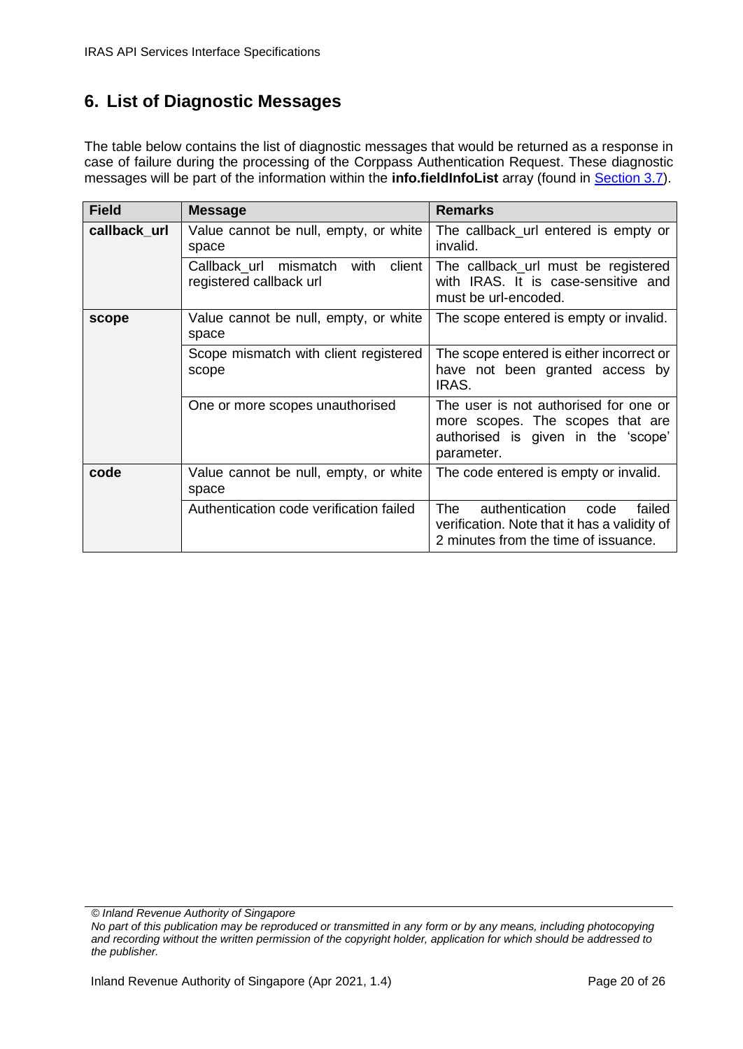## <span id="page-19-0"></span>**6. List of Diagnostic Messages**

The table below contains the list of diagnostic messages that would be returned as a response in case of failure during the processing of the Corppass Authentication Request. These diagnostic messages will be part of the information within the **info.fieldInfoList** array (found in [Section 3.7\)](#page-9-0).

| <b>Field</b> | <b>Message</b>                                                        | <b>Remarks</b>                                                                                                                  |
|--------------|-----------------------------------------------------------------------|---------------------------------------------------------------------------------------------------------------------------------|
| callback_url | Value cannot be null, empty, or white<br>space                        | The callback_url entered is empty or<br>invalid.                                                                                |
|              | mismatch<br>client<br>Callback url<br>with<br>registered callback url | The callback_url must be registered<br>with IRAS. It is case-sensitive and<br>must be url-encoded.                              |
| scope        | Value cannot be null, empty, or white<br>space                        | The scope entered is empty or invalid.                                                                                          |
|              | Scope mismatch with client registered<br>scope                        | The scope entered is either incorrect or<br>have not been granted access by<br>IRAS.                                            |
|              | One or more scopes unauthorised                                       | The user is not authorised for one or<br>more scopes. The scopes that are<br>authorised is given in the 'scope'<br>parameter.   |
| code         | Value cannot be null, empty, or white<br>space                        | The code entered is empty or invalid.                                                                                           |
|              | Authentication code verification failed                               | The<br>authentication<br>code<br>failed<br>verification. Note that it has a validity of<br>2 minutes from the time of issuance. |

*© Inland Revenue Authority of Singapore*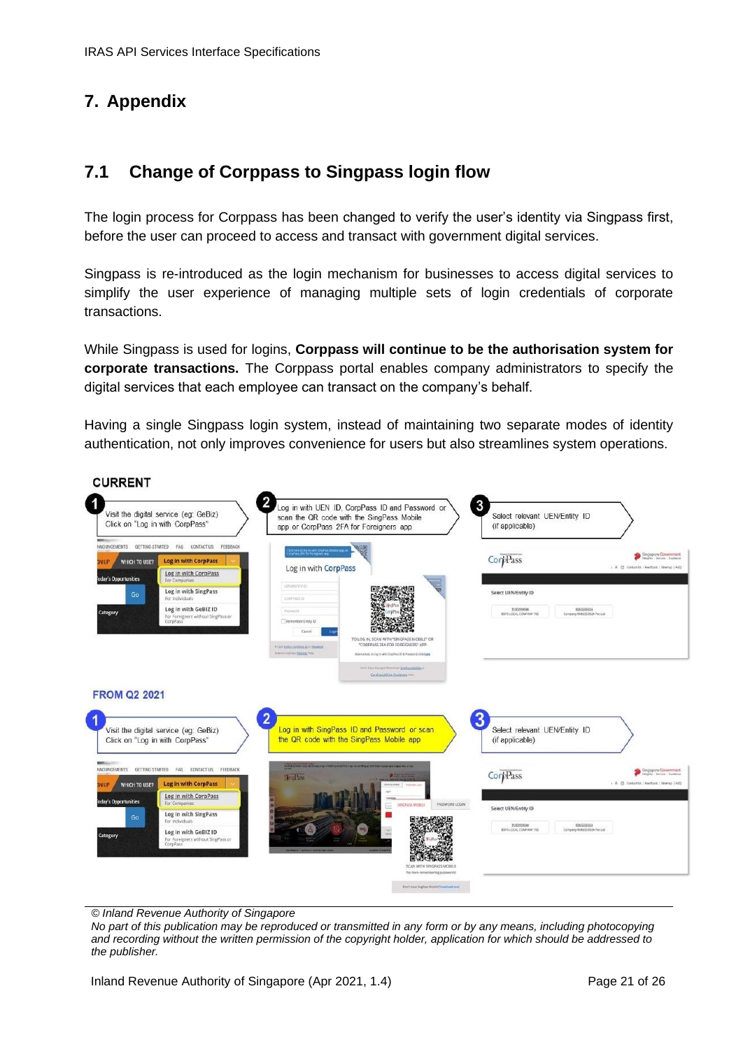# <span id="page-20-0"></span>**7. Appendix**

#### <span id="page-20-1"></span>**7.1 Change of Corppass to Singpass login flow**

The login process for Corppass has been changed to verify the user's identity via Singpass first, before the user can proceed to access and transact with government digital services.

Singpass is re-introduced as the login mechanism for businesses to access digital services to simplify the user experience of managing multiple sets of login credentials of corporate transactions.

While Singpass is used for logins, **Corppass will continue to be the authorisation system for corporate transactions.** The Corppass portal enables company administrators to specify the digital services that each employee can transact on the company's behalf.

Having a single Singpass login system, instead of maintaining two separate modes of identity authentication, not only improves convenience for users but also streamlines system operations.



*© Inland Revenue Authority of Singapore*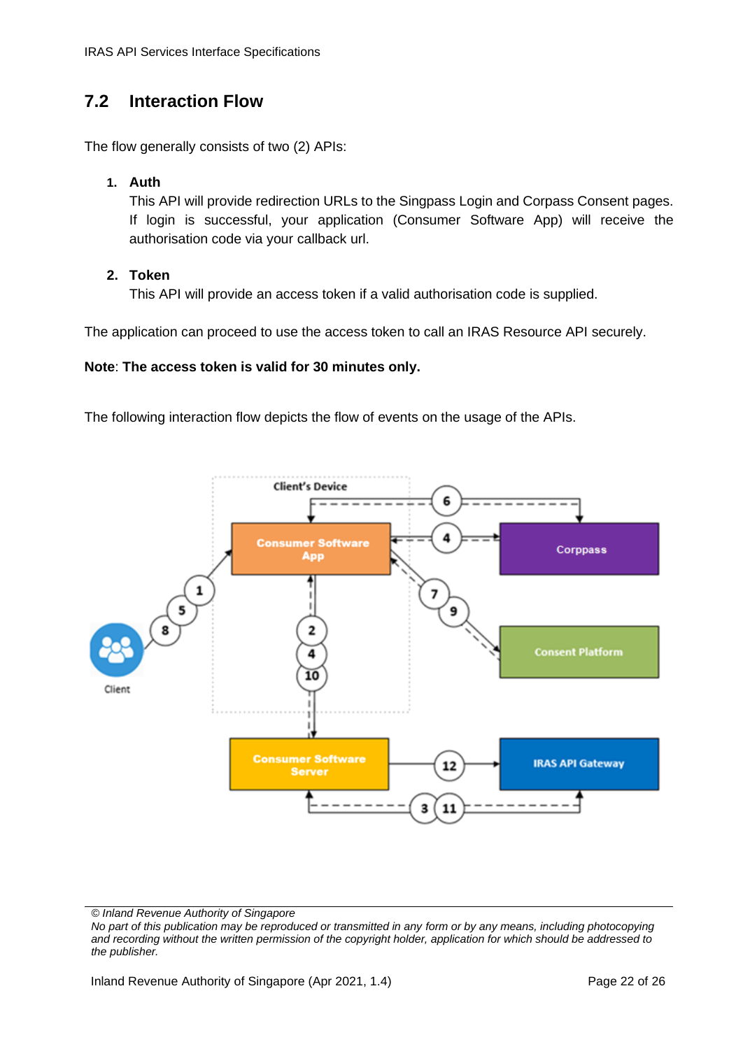# <span id="page-21-0"></span>**7.2 Interaction Flow**

The flow generally consists of two (2) APIs:

#### **1. Auth**

This API will provide redirection URLs to the Singpass Login and Corpass Consent pages. If login is successful, your application (Consumer Software App) will receive the authorisation code via your callback url.

#### **2. Token**

This API will provide an access token if a valid authorisation code is supplied.

The application can proceed to use the access token to call an IRAS Resource API securely.

#### **Note**: **The access token is valid for 30 minutes only.**

The following interaction flow depicts the flow of events on the usage of the APIs.



*© Inland Revenue Authority of Singapore*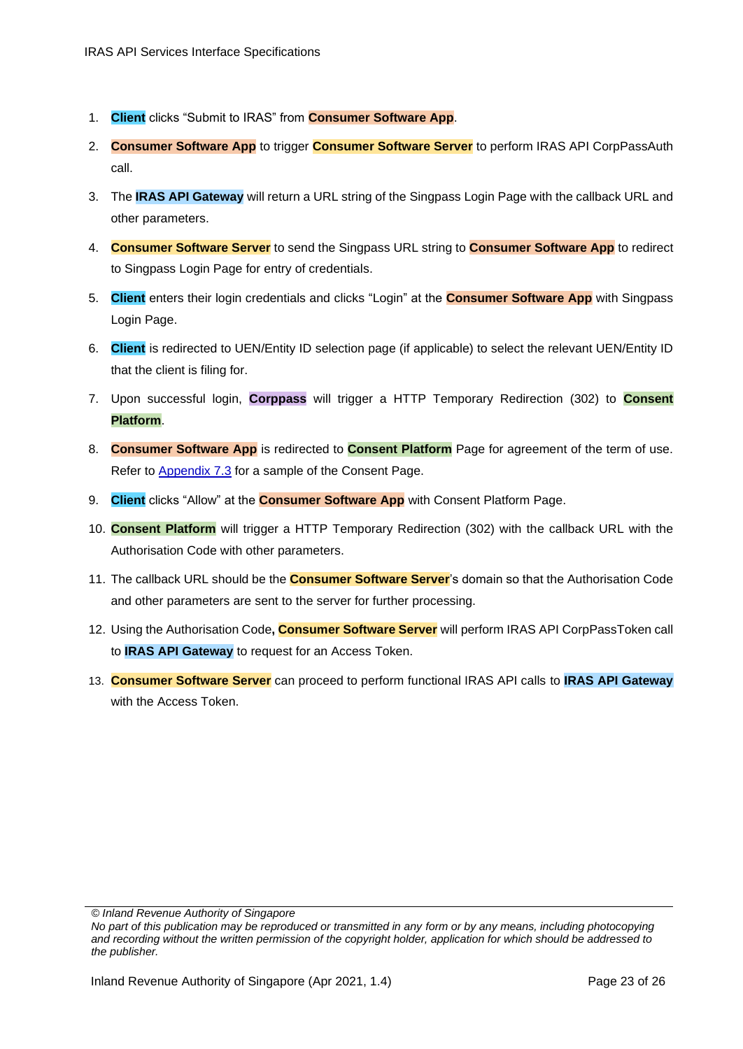- 1. **Client** clicks "Submit to IRAS" from **Consumer Software App**.
- 2. **Consumer Software App** to trigger **Consumer Software Server** to perform IRAS API CorpPassAuth call.
- 3. The **IRAS API Gateway** will return a URL string of the Singpass Login Page with the callback URL and other parameters.
- 4. **Consumer Software Server** to send the Singpass URL string to **Consumer Software App** to redirect to Singpass Login Page for entry of credentials.
- 5. **Client** enters their login credentials and clicks "Login" at the **Consumer Software App** with Singpass Login Page.
- 6. **Client** is redirected to UEN/Entity ID selection page (if applicable) to select the relevant UEN/Entity ID that the client is filing for.
- 7. Upon successful login, **Corppass** will trigger a HTTP Temporary Redirection (302) to **Consent Platform**.
- 8. **Consumer Software App** is redirected to **Consent Platform** Page for agreement of the term of use. Refer to [Appendix 7.3](#page-23-0) for a sample of the Consent Page.
- 9. **Client** clicks "Allow" at the **Consumer Software App** with Consent Platform Page.
- 10. **Consent Platform** will trigger a HTTP Temporary Redirection (302) with the callback URL with the Authorisation Code with other parameters.
- 11. The callback URL should be the **Consumer Software Server**'s domain so that the Authorisation Code and other parameters are sent to the server for further processing.
- 12. Using the Authorisation Code**, Consumer Software Server** will perform IRAS API CorpPassToken call to **IRAS API Gateway** to request for an Access Token.
- 13. **Consumer Software Server** can proceed to perform functional IRAS API calls to **IRAS API Gateway** with the Access Token.

*<sup>©</sup> Inland Revenue Authority of Singapore* 

*No part of this publication may be reproduced or transmitted in any form or by any means, including photocopying and recording without the written permission of the copyright holder, application for which should be addressed to the publisher.*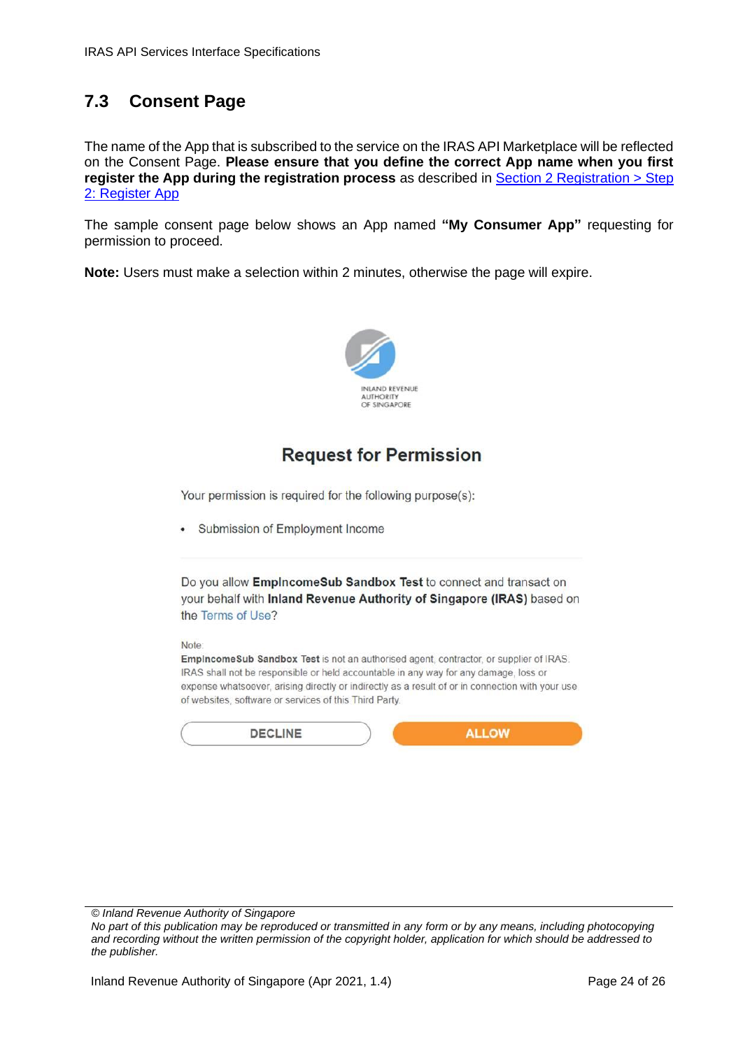# <span id="page-23-0"></span>**7.3 Consent Page**

The name of the App that is subscribed to the service on the IRAS API Marketplace will be reflected on the Consent Page. **Please ensure that you define the correct App name when you first register the App during the registration process** as described in [Section 2 Registration > Step](#page-3-1)  [2: Register App](#page-3-1)

The sample consent page below shows an App named **"My Consumer App"** requesting for permission to proceed.

**Note:** Users must make a selection within 2 minutes, otherwise the page will expire.



# **Request for Permission**

Your permission is required for the following purpose(s):

• Submission of Employment Income



IRAS shall not be responsible or held accountable in any way for any damage, loss or expense whatsoever, arising directly or indirectly as a result of or in connection with your use of websites, software or services of this Third Party.

| DECLINE |  |
|---------|--|
|         |  |

*© Inland Revenue Authority of Singapore*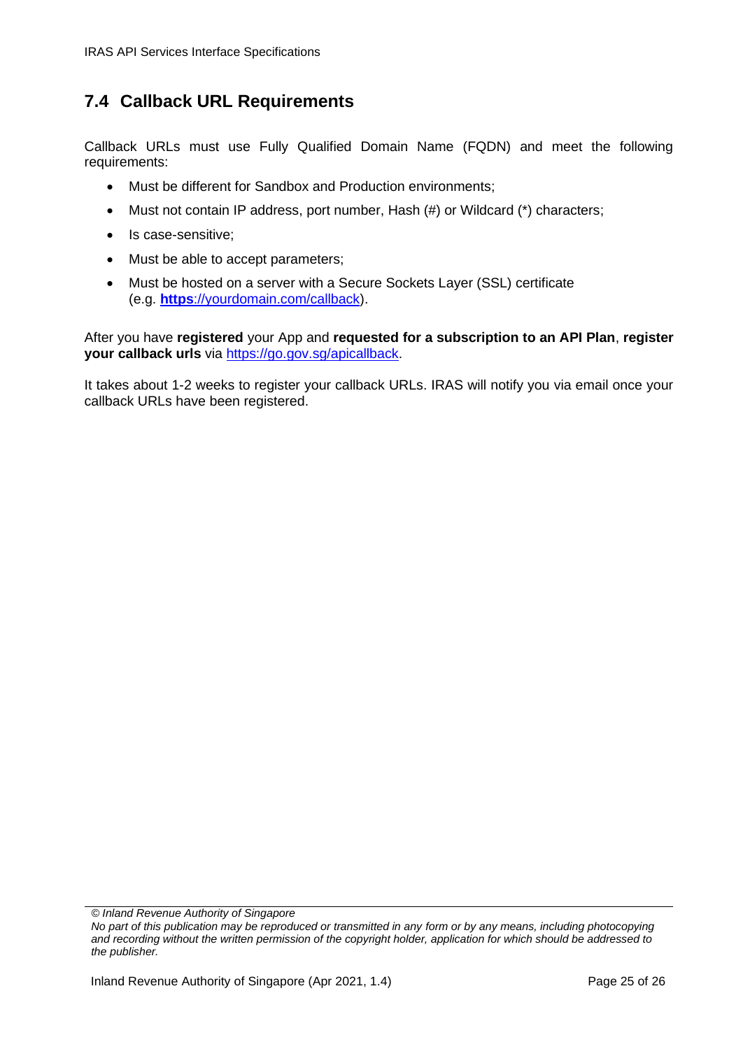## <span id="page-24-0"></span>**7.4 Callback URL Requirements**

Callback URLs must use Fully Qualified Domain Name (FQDN) and meet the following requirements:

- Must be different for Sandbox and Production environments;
- Must not contain IP address, port number, Hash (#) or Wildcard (\*) characters;
- Is case-sensitive;
- Must be able to accept parameters;
- Must be hosted on a server with a Secure Sockets Layer (SSL) certificate (e.g. **https**[://yourdomain.com/callback\)](https://yourdomain.com/callbackURL).

After you have **registered** your App and **requested for a subscription to an API Plan**, **register your callback urls** via [https://go.gov.sg/apicallback.](https://go.gov.sg/apicallback)

It takes about 1-2 weeks to register your callback URLs. IRAS will notify you via email once your callback URLs have been registered.

*© Inland Revenue Authority of Singapore*